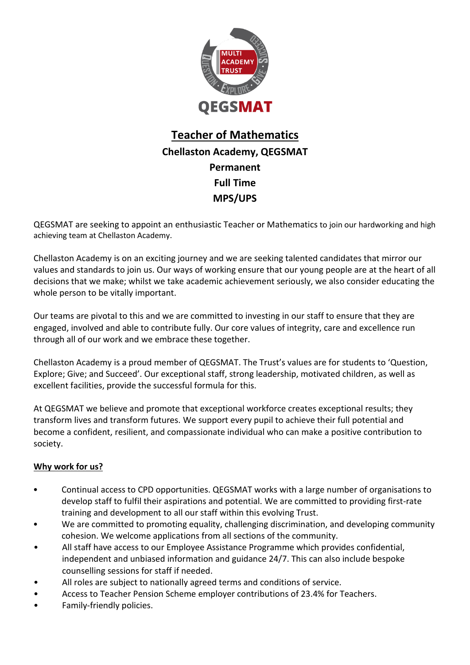

## **Teacher of Mathematics Chellaston Academy, QEGSMAT Permanent Full Time MPS/UPS**

QEGSMAT are seeking to appoint an enthusiastic Teacher or Mathematics to join our hardworking and high achieving team at Chellaston Academy.

Chellaston Academy is on an exciting journey and we are seeking talented candidates that mirror our values and standards to join us. Our ways of working ensure that our young people are at the heart of all decisions that we make; whilst we take academic achievement seriously, we also consider educating the whole person to be vitally important.

Our teams are pivotal to this and we are committed to investing in our staff to ensure that they are engaged, involved and able to contribute fully. Our core values of integrity, care and excellence run through all of our work and we embrace these together.

Chellaston Academy is a proud member of QEGSMAT. The Trust's values are for students to 'Question, Explore; Give; and Succeed'. Our exceptional staff, strong leadership, motivated children, as well as excellent facilities, provide the successful formula for this.

At QEGSMAT we believe and promote that exceptional workforce creates exceptional results; they transform lives and transform futures. We support every pupil to achieve their full potential and become a confident, resilient, and compassionate individual who can make a positive contribution to society.

#### **Why work for us?**

- Continual access to CPD opportunities. QEGSMAT works with a large number of organisations to develop staff to fulfil their aspirations and potential. We are committed to providing first-rate training and development to all our staff within this evolving Trust.
- We are committed to promoting equality, challenging discrimination, and developing community cohesion. We welcome applications from all sections of the community.
- All staff have access to our Employee Assistance Programme which provides confidential, independent and unbiased information and guidance 24/7. This can also include bespoke counselling sessions for staff if needed.
- All roles are subject to nationally agreed terms and conditions of service.
- Access to Teacher Pension Scheme employer contributions of 23.4% for Teachers.
- Family-friendly policies.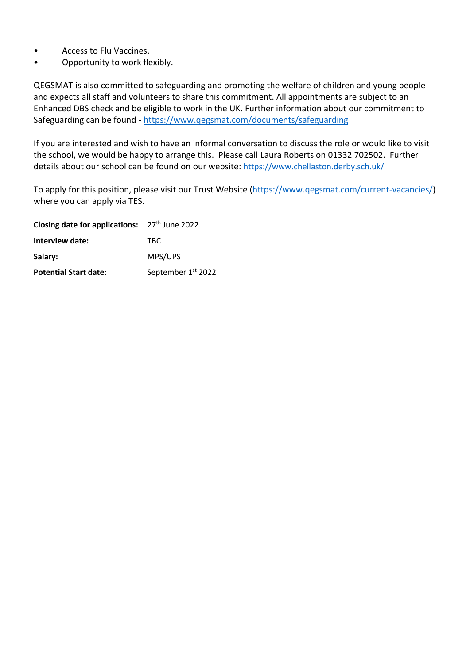- Access to Flu Vaccines.
- Opportunity to work flexibly.

QEGSMAT is also committed to safeguarding and promoting the welfare of children and young people and expects all staff and volunteers to share this commitment. All appointments are subject to an Enhanced DBS check and be eligible to work in the UK. Further information about our commitment to Safeguarding can be found - <https://www.qegsmat.com/documents/safeguarding>

If you are interested and wish to have an informal conversation to discuss the role or would like to visit the school, we would be happy to arrange this. Please call Laura Roberts on 01332 702502. Further details about our school can be found on our website: https://www.chellaston.derby.sch.uk/

To apply for this position, please visit our Trust Website [\(https://www.qegsmat.com/current-vacancies/\)](https://www.qegsmat.com/current-vacancies/) where you can apply via TES.

| Closing date for applications: 27th June 2022 |                    |  |
|-----------------------------------------------|--------------------|--|
| Interview date:                               | TBC.               |  |
| Salary:                                       | MPS/UPS            |  |
| <b>Potential Start date:</b>                  | September 1st 2022 |  |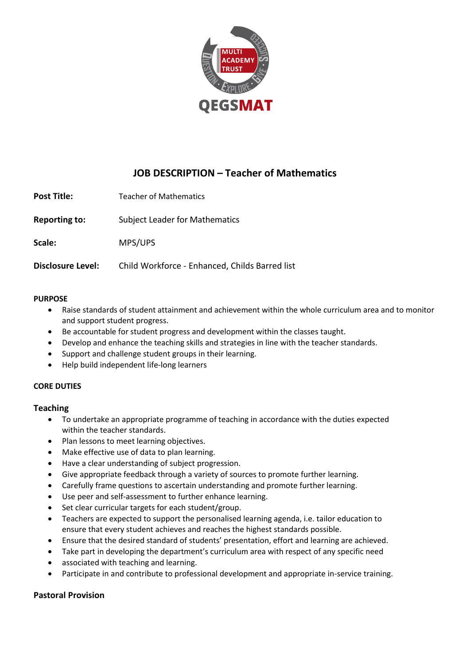

### **JOB DESCRIPTION – Teacher of Mathematics**

**Post Title:** Teacher of Mathematics

**Reporting to:** Subject Leader for Mathematics

**Scale:** MPS/UPS

**Disclosure Level:** Child Workforce - Enhanced, Childs Barred list

#### **PURPOSE**

- Raise standards of student attainment and achievement within the whole curriculum area and to monitor and support student progress.
- Be accountable for student progress and development within the classes taught.
- Develop and enhance the teaching skills and strategies in line with the teacher standards.
- Support and challenge student groups in their learning.
- Help build independent life-long learners

#### **CORE DUTIES**

#### **Teaching**

- To undertake an appropriate programme of teaching in accordance with the duties expected within the teacher standards.
- Plan lessons to meet learning objectives.
- Make effective use of data to plan learning.
- Have a clear understanding of subject progression.
- Give appropriate feedback through a variety of sources to promote further learning.
- Carefully frame questions to ascertain understanding and promote further learning.
- Use peer and self-assessment to further enhance learning.
- Set clear curricular targets for each student/group.
- Teachers are expected to support the personalised learning agenda, i.e. tailor education to ensure that every student achieves and reaches the highest standards possible.
- Ensure that the desired standard of students' presentation, effort and learning are achieved.
- Take part in developing the department's curriculum area with respect of any specific need
- associated with teaching and learning.
- Participate in and contribute to professional development and appropriate in-service training.

#### **Pastoral Provision**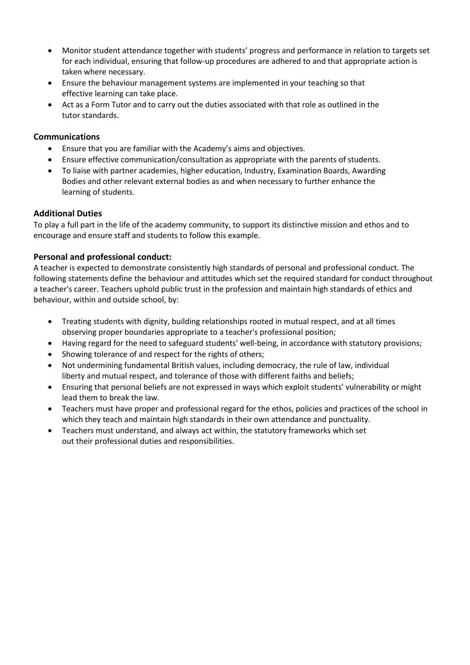- Monitor student attendance together with students' progress and performance in relation to targets set for each individual, ensuring that follow-up procedures are adhered to and that appropriate action is taken where necessary.
- Ensure the behaviour management systems are implemented in your teaching so that effective learning can take place.
- Act as a Form Tutor and to carry out the duties associated with that role as outlined in the tutor standards.

#### **Communications**

- Ensure that you are familiar with the Academy's aims and objectives.
- Ensure effective communication/consultation as appropriate with the parents of students.
- To liaise with partner academies, higher education, Industry, Examination Boards, Awarding Bodies and other relevant external bodies as and when necessary to further enhance the learning of students.

#### **Additional Duties**

To play a full part in the life of the academy community, to support its distinctive mission and ethos and to encourage and ensure staff and students to follow this example.

#### **Personal and professional conduct:**

A teacher is expected to demonstrate consistently high standards of personal and professional conduct. The following statements define the behaviour and attitudes which set the required standard for conduct throughout a teacher's career. Teachers uphold public trust in the profession and maintain high standards of ethics and behaviour, within and outside school, by:

- Treating students with dignity, building relationships rooted in mutual respect, and at all times observing proper boundaries appropriate to a teacher's professional position;
- Having regard for the need to safeguard students' well-being, in accordance with statutory provisions;
- Showing tolerance of and respect for the rights of others;
- Not undermining fundamental British values, including democracy, the rule of law, individual liberty and mutual respect, and tolerance of those with different faiths and beliefs;
- Ensuring that personal beliefs are not expressed in ways which exploit students' vulnerability or might lead them to break the law.
- Teachers must have proper and professional regard for the ethos, policies and practices of the school in which they teach and maintain high standards in their own attendance and punctuality.
- Teachers must understand, and always act within, the statutory frameworks which set out their professional duties and responsibilities.